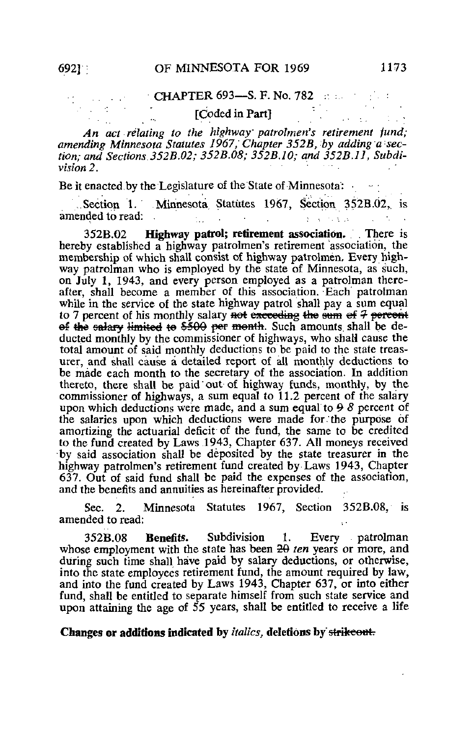## CHAPTER 693—S. F. No. 782 :-.:. . :

#### $[Coded in Part]$  $[Coded in Part]$

An act relating to the highway patrolmen's retirement jund; amending Minnesota Statutes 1967, Chapter 352B, by adding a section; and Sections.352B.02; 352B.08; 352B.10; and 352B.ll, Subdivision 2.

Be it enacted by the Legislature of the State of Minnesota:

, Section 1. Minnesota Statutes 1967, Section 352B.02, is amended to read: . . : . -.-,.. , . .

3S2B.02 Highway patrol; retirement association. . There is hereby established a highway patrolmen's retirement association, the membership of which shall consist of highway patrolmen. Every highway patrolman who is employed by the state of Minnesota, as such, on July 1, 1943, and every person employed as a patrolman thereafter, shall become a member of this association. Each patrolman while in the service of the state highway patrol shall pay a sum equal to 7 percent of his monthly salary not exceeding the sum of  $\frac{1}{2}$  percent ef the salary limited to \$500 per menth. Such amounts, shall be deducted monthly by the commissioner of highways, who shall cause the total amount of said monthly deductions to be paid to the state treasurer, and shall cause a detailed report of all monthly deductions to be made each month to the secretary of the association. In addition thereto, there shall be paid "out of highway funds, monthly, by the commissioner of highways, a sum equal to 11.2 percent of the salary upon which deductions were made, and a sum equal to 9 8 percent of the salaries upon which deductions were made for the purpose of amortizing the actuarial deficit of the fund, the same to be credited to the fund created by Laws 1943, Chapter 637. All moneys received •by said association shall be deposited by the state treasurer in the highway patrolmen's retirement fund created by Laws 1943, Chapter 637. Out of said fund shall be paid the expenses of the association, and the benefits and annuities as hereinafter provided.

Sec. 2. Minnesota Statutes 1967, Section 352B.08, is amended to read:

352B.08 Benefits. Subdivision 1. Every patrolman whose employment with the state has been  $2\theta$  ten years or more, and during such time shall have paid by salary deductions, or otherwise, into the state employees retirement fund, the amount required by law, and into the fund created by Laws 1943, Chapter 637, or into either fund, shall be entitled to separate himself from such state service and upon attaining the age of 55 years, shall be entitled to receive a life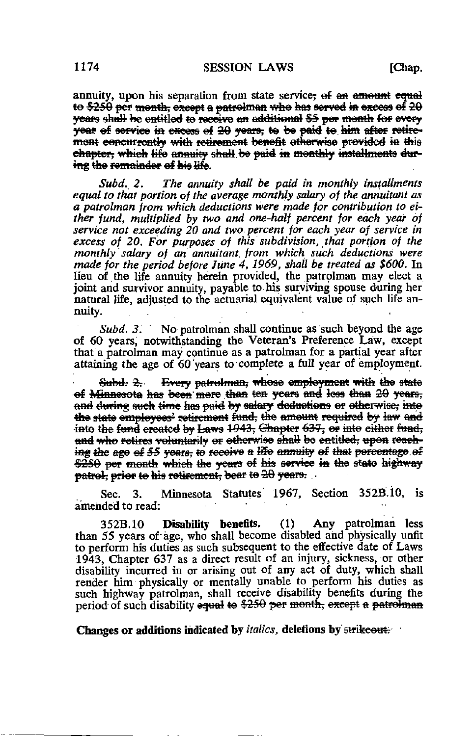annuity, upon his separation from state service, of an amount equal to \$250 per month, except a patrolman who has served in excess of 20 years shall be entitled to receive an additional \$5 per menth for every year of service in excess of 20 years, to be paid to him after retirement concurrently with retirement benefit otherwise provided in this chapter, which life annuity shall be paid in monthly installments during the remainder of his life.

Subd. 2. The annuity shall be paid in monthly installments equal to that portion of the average monthly salary of the annuitant as a patrolman from which deductions were made for contribution to either fund, multiplied by two and one-half percent for each year of service not exceeding 20 and two percent for each year of service in excess of 20. For purposes of this subdivision, that portion of the monthly salary of an annuitant from which such deductions were made for the period before June 4, 1969, shall be treated as \$600. In lieu of the life annuity herein provided, the patrolman may elect a joint and survivor annuity, payable to his surviving spouse during her natural life, adjusted to the actuarial equivalent value of such life annuity.

 $Subd. 3.$ No patrolman shall continue as such beyond the age of 60 years, notwithstanding the Veteran's Preference Law, except that a patrolman may continue as a patrolman for a partial year after attaining the age of 60 years to complete a full year of employment.

Every patrolman, whose employment with the state <del>Subd.</del> <del>2.</del> of Minnesota has been more than ten years and less than 20 years, and during such time has paid by salary deductions or otherwise, into the state employees' retirement fund, the amount required by law and into the fund created by Laws 1943, Chapter 637, or into cither fund, and who retires voluntarily or otherwise shall be entitled, upon reaching the age of 55 years, to receive a life annuity of that percentage of \$250 per month which the years of his service in the state highway patrol, prior to his retirement, bear to 20 years.

Minnesota Statutes 1967, Section 352B.10, is Sec.  $3.$ amended to read:

Disability benefits.  $(1)$ Any patrolman less 352B.10 than 55 years of age, who shall become disabled and physically unfit to perform his duties as such subsequent to the effective date of Laws 1943, Chapter 637 as a direct result of an injury, sickness, or other disability incurred in or arising out of any act of duty, which shall render him physically or mentally unable to perform his duties as such highway patrolman, shall receive disability benefits during the period of such disability equal to \$250 per month, except a patrolman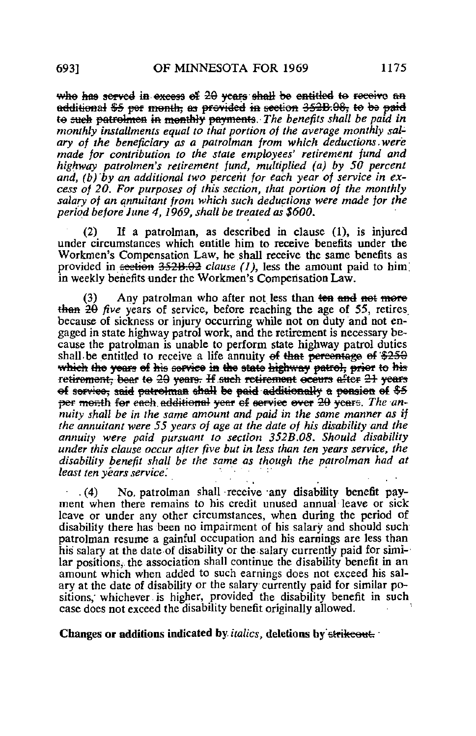who has served in excess of 20 years shall be entitled to receive an additional \$5 per month, as provided in section 352B.08, to be paid to such patrolmen in monthly payments. The benefits shall be paid in monthly installments equal to that portion of the average monthly salary of the beneficiary as a patrolman from which deductions were made for contribution to the state employees' retirement fund and highway patrolmen's retirement fund, multiplied (a) by 50 percent and. (b) by an additional two percent for each year of service in  $ex$ cess of 20. For purposes of this section, that portion of the monthly salary of an annuitant from which such deductions were made for the period before June 4, 1969, shall be treated as \$600.

If a patrolman, as described in clause (1), is injured  $(2)$ under circumstances which entitle him to receive benefits under the Workmen's Compensation Law, he shall receive the same benefits as provided in election  $352B.92$  clause (1), less the amount paid to him. in weekly benefits under the Workmen's Compensation Law.

Any patrolman who after not less than ten and not more  $(3)$ than 20 five years of service, before reaching the age of 55, retires because of sickness or injury occurring while not on duty and not engaged in state highway patrol work, and the retirement is necessary because the patrolman is unable to perform state highway patrol duties shall be entitled to receive a life annuity of that percentage of  $$25\theta$ which the vears of his service in the state highway patrol, prior to his retirement, bear to 20 years. If such retirement occurs after 21 years of service, said patrolman shall be paid additionally a pension of \$5 per month for each additional year of service over 20 years. The annuity shall be in the same amount and paid in the same manner as if the annuitant were 55 years of age at the date of his disability and the annuity were paid pursuant to section 352B.08. Should disability under this clause occur after five but in less than ten vears service. the disability benefit shall be the same as though the patrolman had at least ten vears service.

No patrolman shall receive any disability benefit pay- $(4)$ ment when there remains to his credit unused annual leave or sick leave or under any other circumstances, when during the period of disability there has been no impairment of his salary and should such patrolman resume a gainful occupation and his earnings are less than his salary at the date of disability or the salary currently paid for similar positions, the association shall continue the disability benefit in an amount which when added to such earnings does not exceed his salary at the date of disability or the salary currently paid for similar positions, whichever is higher, provided the disability benefit in such case does not exceed the disability benefit originally allowed.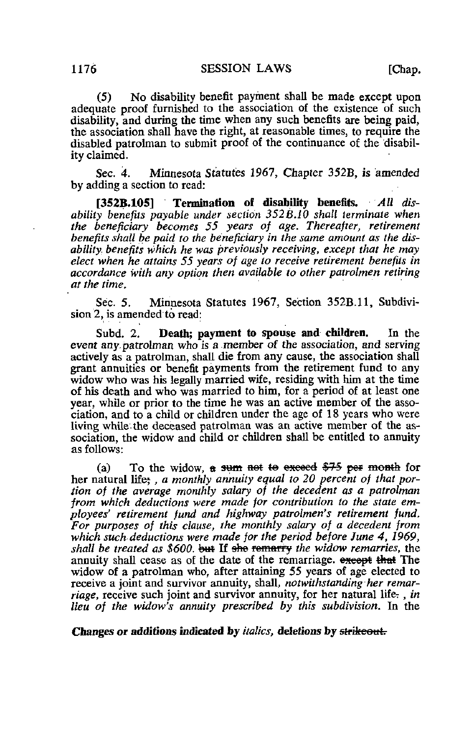(5) No disability benefit payment shall be made except upon adequate proof furnished to the association of the existence of such disability, and during the time when any such benefits are being paid, the association shall have the right, at reasonable times, to require the disabled patrolman to submit proof of the continuance of the disability claimed.

Sec. 4. Minnesota Statutes 1967, Chapter 352B, is amended by adding a section to read:

[352B.105] Termination of disability benefits. All disability benefits payable under section 352B.10 shall terminate when the beneficiary becomes 55 years of age. Thereafter, retirement benefits shall be paid to the beneficiary in the same amount as the disability benefits which he was previously receiving, except that he may elect when he attains 55 years of age to receive retirement benefits in accordance with any option then available to other patrolmen retiring at the time.

Sec. 5. Minnesota Statutes 1967, Section 352B.11, Subdivision 2, is amended to read:

Subd. 2. Death; payment to spouse and children. In the event any.patrolman who is a member of the association, and serving actively as a patrolman, shall die from any cause, the association shall grant annuities or benefit payments from the retirement fund to any widow who was his legally married wife, residing with him at the time of his death and who was married to him, for a period of at least one year, while or prior to the time he was an active member of the association, and to a child or children under the age of 18 years who were living while the deceased patrolman was an active member of the association, the widow and child or children shall be entitled to annuity as follows:

(a) To the widow, a sum not to exceed  $$75$  per month for her natural life; , a monthly annuity equal to 20 percent of that portion of the average monthly salary of the decedent as a patrolman from which deductions were made for contribution to the state employees' retirement fund and highway patrolmen's retirement fund, For purposes of this clause, the monthly salary of a decedent from which such deductions were made for the period before June 4, 1969, shall be treated as  $$600$ . but If she remarry the widow remarries, the annuity shall cease as of the date of the remarriage. except that The widow of a patrolman who, after attaining 55 years of age elected to receive a joint and survivor annuity, shall, notwithstanding her remarriage, receive such joint and survivor annuity, for her natural life-, in lieu of the widow's annuity prescribed by this subdivision. In the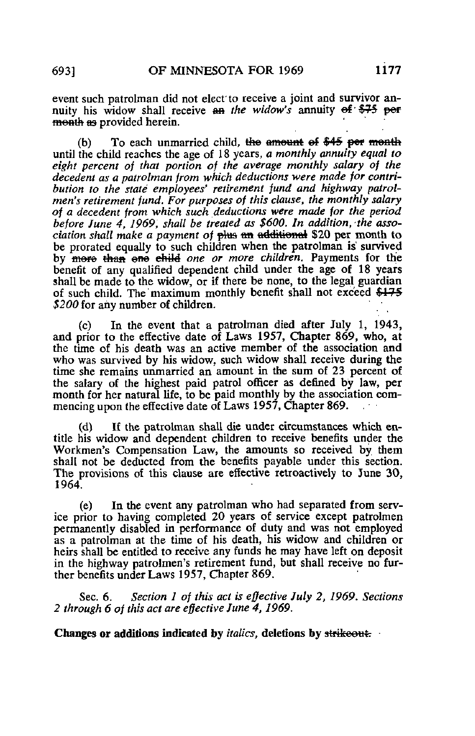event such patrolman did not elect' to receive a joint and survivor annuity his widow shall receive an the widow's annuity  $ef \sqrt{$+5}$  per month as provided herein.

(b) To each unmarried child, the amount of  $$45$  per month until the child reaches the age of  $18$  years, a monthly annuity equal to eight percent of that portion of the average monthly salary of the decedent as a patrolman from which deductions were made for contribution to the state employees' retirement fund and highway patrolmen's retirement fund. For purposes of this clause, the monthly salary of a decedent from which such deductions were made for the period before June 4, 1969, shall be treated as \$600. In addition, the association shall make a payment of plus an additional \$20 per month to be prorated equally to such children when the patrolman is' survived by more than one child one or more children. Payments for the benefit of any qualified dependent child under the age of 18 years shall be made to the widow, or if there be none, to the legal guardian of such child. The maximum monthly benefit shall not exceed \$175 \$200 for any number of children.

(c) In the event that a patrolman died after July 1, 1943, and prior to the effective date of Laws 1957, Chapter 869, who, at the time of his death was an active member of the association and who was survived by his widow, such widow shall receive during the time she remains unmarried an amount in the sum of 23 percent of the salary of the highest paid patrol officer as defined by law, per month for her natural life, to be paid monthly by the association commencing upon the effective date of Laws 1957, Chapter 869.

If the patrolman shall die under circumstances which entitle his widow and dependent children to receive benefits under the Workmen's Compensation Law, the amounts so received by them shall not be deducted from the benefits payable under this section. The provisions of this clause are effective retroactively to June 30, 1964.

(e) In the event any patrolman who had separated from service prior to having completed 20 years of service except patrolmen permanently disabled in performance of duty and was not employed as a patrolman at the time of his death, his widow and children or heirs shall be entitled to receive any funds he may have left on deposit in the highway patrolmen's retirement fund, but shall receive no further benefits under Laws 1957, Chapter 869.

Sec. 6. Section 1 of this act is effective July 2, 1969. Sections 2 through 6 of this act are effective June 4, 1969.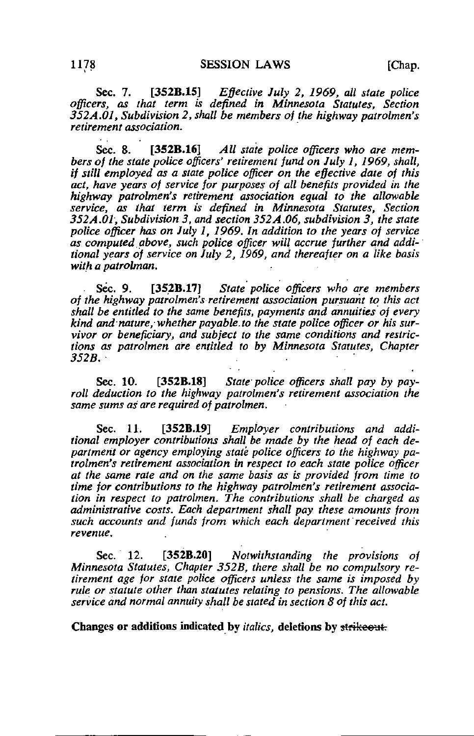Sec. 7. [352B.15] Effective July 2, 1969, all state police officers, as that term is defined in Minnesota Statutes, Section  $352A.01$ , Subdivision 2, shall be members of the highway patrolmen's retirement association.

Sec. 8. [352B.16] All state police officers who are members of the state police officers' retirement fund on July 1, 1969, shall, if still employed as a state police officer on the effective date of this act, have years of service for purposes of all benefits provided in the highway patrolmen's retirement association equal to the allowable service, as that term is defined in Minnesota Statutes, Section 352A.01, Subdivision 3, and section 352A.06, subdivision 3, the state police officer has on July 1, 1969. In addition to the years of service as computed above, such police officer will accrue further and additional years of service on July 2, 1969, and thereafter on a like basis with a patrolman.

Sec. 9. [352B.17] State police officers who are members of the highway patrolmen's retirement association pursuant to this act shall be entitled to the same benefits, payments and annuities of every kind and nature, whether payable, to the state police officer or his survivor or beneficiary, and subject to the same conditions and restrictions as patrolmen are entitled to by Minnesota Statutes, Chapter 352B.

Sec. 10. [352B.18] State police officers shall pay by payroll deduction to the highway patrolmen's retirement association the same sums as are required of patrolmen.

Sec. 11. [352B.19] Employer contributions and additional employer contributions shall be made by the head of each department or agency employing state police officers to the highway patrolmen's retirement association in respect to each state police officer at the same rate and on the same basis as is provided from time to time for contributions to the highway patrolmen's retirement association in respect to patrolmen. The contributions shall be charged as administrative costs. Each department shall pay these amounts from such accounts and funds from which each department received this revenue.

Sec. 12. [352B.20] Notwithstanding the provisions of Minnesota Statutes, Chapter 352B, there shall be no compulsory retirement age for state police officers unless the same is imposed by rule or statute other than statutes relating to pensions. The allowable service and normal annuity shall be stated in section 8 of this act.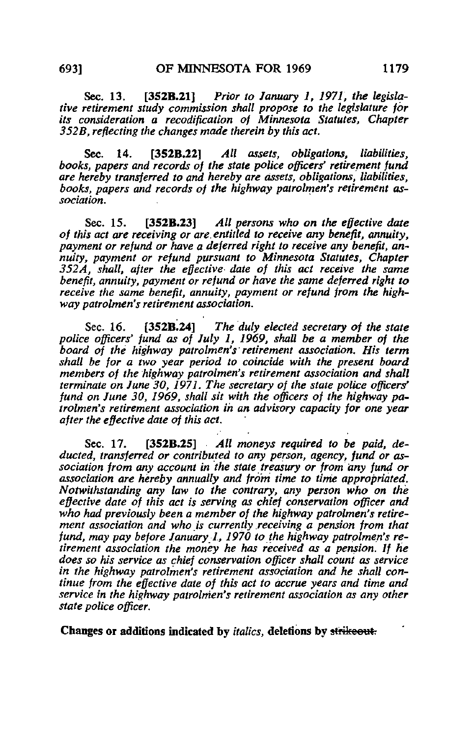Sec. 13.  $[352B.21]$  Prior to January 1, 1971, the legislative retirement study commission shall propose to the legislature for its consideration a recodification of Minnesota Statutes, Chapter 352B, reflecting the changes made therein by this act.

Sec. 14. [352B.22] All assets, obligations, liabilities, books, papers and records of the state police officers' retirement fund are hereby transferred to and hereby are assets, obligations, liabilities, books, papers and records of the highway patrolmen's retirement association.

Sec. 15. [352B.23] All persons who on the effective date of this act are receiving or are. entitled to receive any benefit, annuity, payment or refund or have a deferred right to receive any benefit, annuity, payment or refund pursuant to Minnesota Statutes, Chapter 352A, shall, after the effective date of this act receive the same benefit, annuity, payment or refund or have the same deferred right to receive the same benefit, annuity, payment or refund from the highway patrolmen's retirement association.

Sec. 16. [352B.24] The duly elected secretary of the state police officers' fund as of July 1, 1969, shall be a member of the board of the highway patrolmen's'retirement association. His term shall be for a two year period to coincide with the present board members of the highway patrolmen's retirement association and shall terminate on June 30, 1971. The secretary of the state police officers' fund on June 30, 1969, shall sit with the officers of the highway patrolmen's retirement association in an advisory capacity for one year after the effective date of this act.

Sec. 17. [352B.25] All moneys required to be paid, deducted, transferred or contributed to any person, agency, fund or association from any account in the state treasury or from any fund or association are hereby annually and from time to time appropriated. Notwithstanding any law to the contrary, any person who on the effective date of this act is serving as chief conservation officer and who had previously been a member of the highway patrolmen's retirement association and who is currently receiving a pension from that fund, may pay before January 1, 1970 to the highway patrolmen's retirement association the money he has received as a pension. If he does so his service as chief conservation officer shall count as service in the highway patrolmen's retirement association and he shall continue from the effective date of this act to accrue years and time and service in the highway patrolmen's retirement association as any other state police officer.